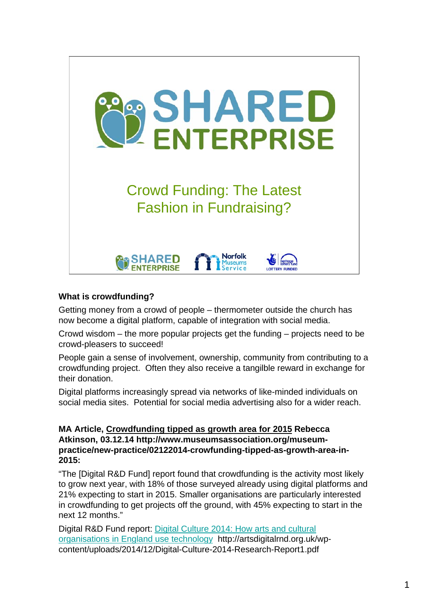

## **What is crowdfunding?**

Getting money from a crowd of people – thermometer outside the church has now become a digital platform, capable of integration with social media.

Crowd wisdom – the more popular projects get the funding – projects need to be crowd-pleasers to succeed!

People gain a sense of involvement, ownership, community from contributing to a crowdfunding project. Often they also receive a tangilble reward in exchange for their donation.

Digital platforms increasingly spread via networks of like-minded individuals on social media sites. Potential for social media advertising also for a wider reach.

**MA Article, Crowdfunding tipped as growth area for 2015 Rebecca Atkinson, 03.12.14 http://www.museumsassociation.org/museumpractice/new-practice/02122014-crowfunding-tipped-as-growth-area-in-2015:**

"The [Digital R&D Fund] report found that crowdfunding is the activity most likely to grow next year, with 18% of those surveyed already using digital platforms and 21% expecting to start in 2015. Smaller organisations are particularly interested in crowdfunding to get projects off the ground, with 45% expecting to start in the next 12 months."

Digital R&D Fund report: Digital Culture 2014: How arts and cultural organisations in England use technology http://artsdigitalrnd.org.uk/wpcontent/uploads/2014/12/Digital-Culture-2014-Research-Report1.pdf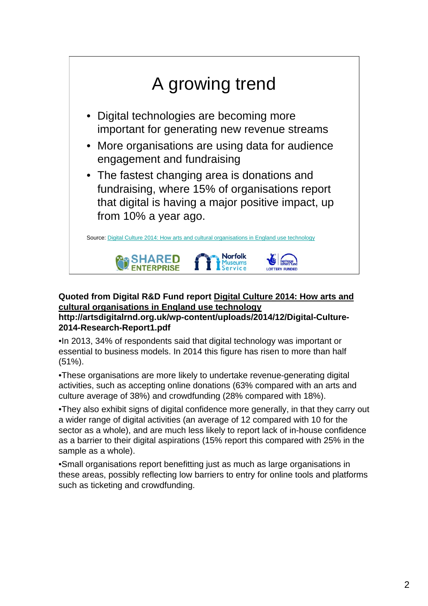

#### **Quoted from Digital R&D Fund report Digital Culture 2014: How arts and cultural organisations in England use technology http://artsdigitalrnd.org.uk/wp-content/uploads/2014/12/Digital-Culture-**

## **2014-Research-Report1.pdf**

•In 2013, 34% of respondents said that digital technology was important or essential to business models. In 2014 this figure has risen to more than half (51%).

•These organisations are more likely to undertake revenue-generating digital activities, such as accepting online donations (63% compared with an arts and culture average of 38%) and crowdfunding (28% compared with 18%).

•They also exhibit signs of digital confidence more generally, in that they carry out a wider range of digital activities (an average of 12 compared with 10 for the sector as a whole), and are much less likely to report lack of in-house confidence as a barrier to their digital aspirations (15% report this compared with 25% in the sample as a whole).

•Small organisations report benefitting just as much as large organisations in these areas, possibly reflecting low barriers to entry for online tools and platforms such as ticketing and crowdfunding.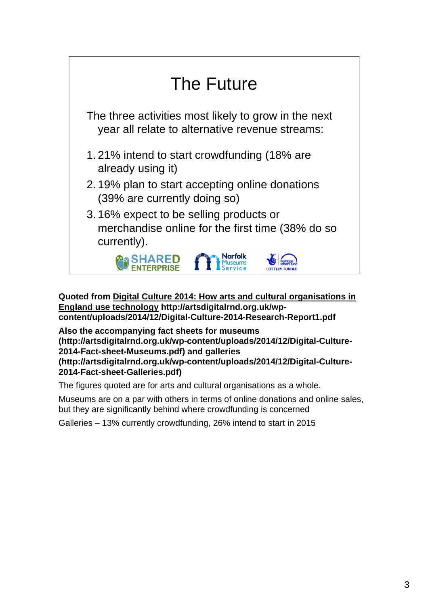

**Quoted from Digital Culture 2014: How arts and cultural organisations in England use technology http://artsdigitalrnd.org.uk/wpcontent/uploads/2014/12/Digital-Culture-2014-Research-Report1.pdf**

**Also the accompanying fact sheets for museums (http://artsdigitalrnd.org.uk/wp-content/uploads/2014/12/Digital-Culture-2014-Fact-sheet-Museums.pdf) and galleries (http://artsdigitalrnd.org.uk/wp-content/uploads/2014/12/Digital-Culture-2014-Fact-sheet-Galleries.pdf)**

The figures quoted are for arts and cultural organisations as a whole.

Museums are on a par with others in terms of online donations and online sales, but they are significantly behind where crowdfunding is concerned

Galleries – 13% currently crowdfunding, 26% intend to start in 2015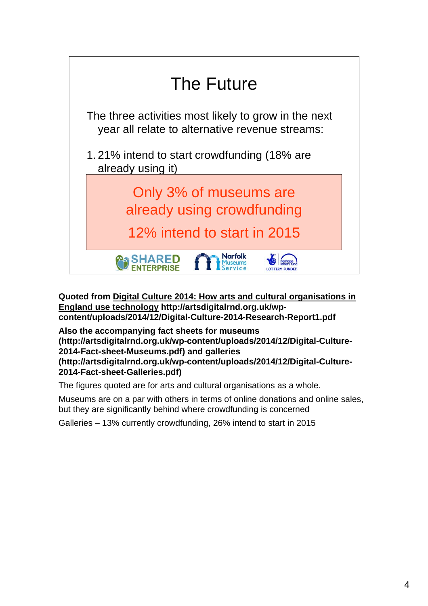

**Quoted from Digital Culture 2014: How arts and cultural organisations in England use technology http://artsdigitalrnd.org.uk/wpcontent/uploads/2014/12/Digital-Culture-2014-Research-Report1.pdf**

**Also the accompanying fact sheets for museums (http://artsdigitalrnd.org.uk/wp-content/uploads/2014/12/Digital-Culture-2014-Fact-sheet-Museums.pdf) and galleries (http://artsdigitalrnd.org.uk/wp-content/uploads/2014/12/Digital-Culture-2014-Fact-sheet-Galleries.pdf)**

The figures quoted are for arts and cultural organisations as a whole.

Museums are on a par with others in terms of online donations and online sales, but they are significantly behind where crowdfunding is concerned

Galleries – 13% currently crowdfunding, 26% intend to start in 2015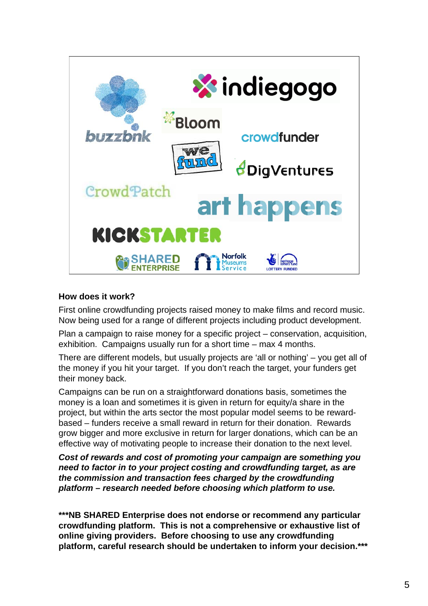

#### **How does it work?**

First online crowdfunding projects raised money to make films and record music. Now being used for a range of different projects including product development.

Plan a campaign to raise money for a specific project – conservation, acquisition, exhibition. Campaigns usually run for a short time – max 4 months.

There are different models, but usually projects are 'all or nothing' – you get all of the money if you hit your target. If you don't reach the target, your funders get their money back.

Campaigns can be run on a straightforward donations basis, sometimes the money is a loan and sometimes it is given in return for equity/a share in the project, but within the arts sector the most popular model seems to be rewardbased – funders receive a small reward in return for their donation. Rewards grow bigger and more exclusive in return for larger donations, which can be an effective way of motivating people to increase their donation to the next level.

*Cost of rewards and cost of promoting your campaign are something you need to factor in to your project costing and crowdfunding target, as are the commission and transaction fees charged by the crowdfunding platform – research needed before choosing which platform to use.*

**\*\*\*NB SHARED Enterprise does not endorse or recommend any particular crowdfunding platform. This is not a comprehensive or exhaustive list of online giving providers. Before choosing to use any crowdfunding platform, careful research should be undertaken to inform your decision.\*\*\***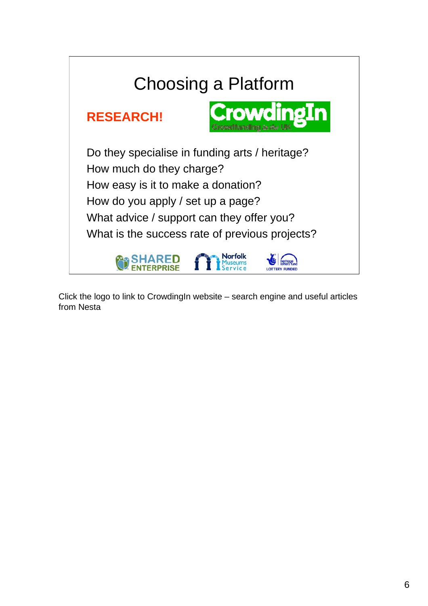

Click the logo to link to CrowdingIn website – search engine and useful articles from Nesta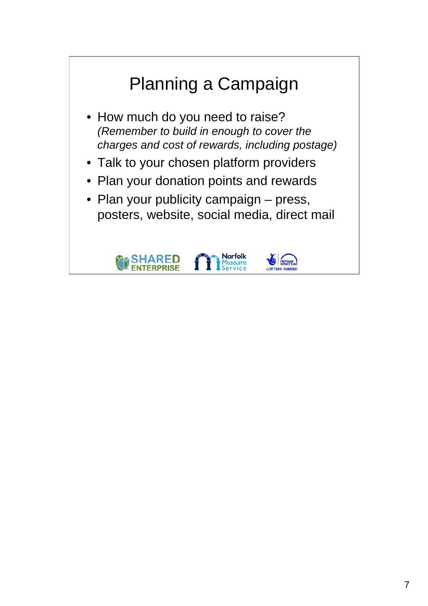## Planning a Campaign • How much do you need to raise? *(Remember to build in enough to cover the charges and cost of rewards, including postage)* • Talk to your chosen platform providers • Plan your donation points and rewards • Plan your publicity campaign – press, posters, website, social media, direct mail**Norfolk**<br>Museums **IARED**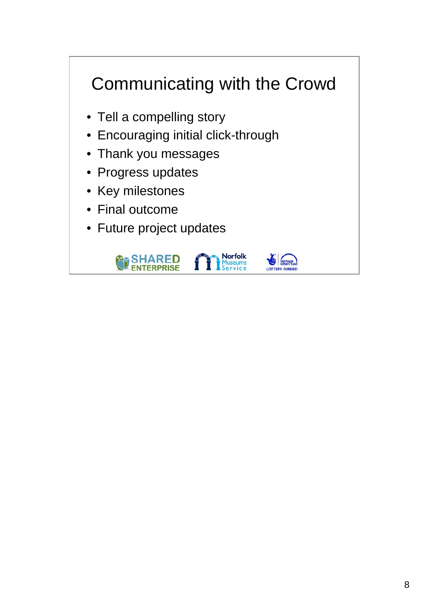# Communicating with the Crowd

- Tell a compelling story
- Encouraging initial click-through
- Thank you messages
- Progress updates
- Key milestones
- Final outcome
- Future project updates





**Norfolk**<br>Museums<br>Service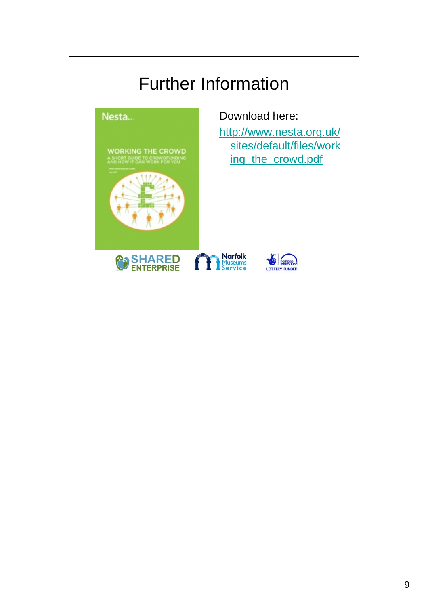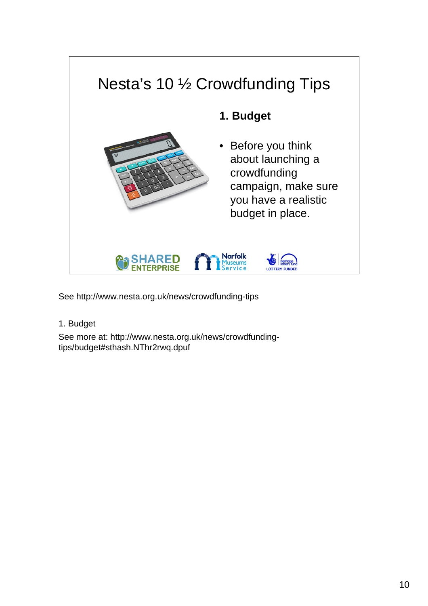

1. Budget

See more at: http://www.nesta.org.uk/news/crowdfundingtips/budget#sthash.NThr2rwq.dpuf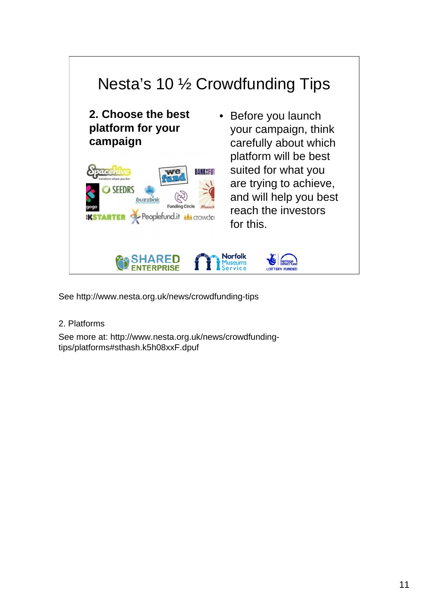

2. Platforms

See more at: http://www.nesta.org.uk/news/crowdfundingtips/platforms#sthash.k5h08xxF.dpuf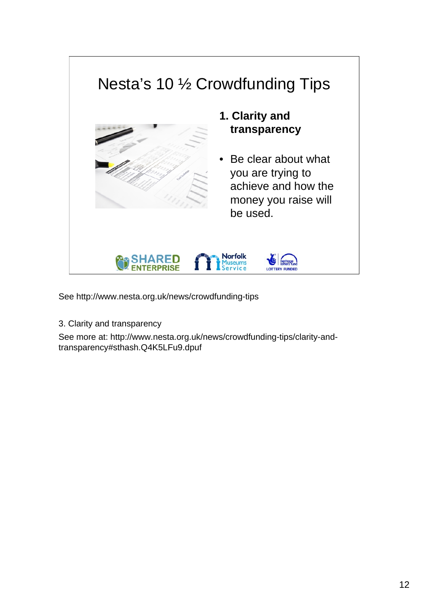

3. Clarity and transparency

See more at: http://www.nesta.org.uk/news/crowdfunding-tips/clarity-andtransparency#sthash.Q4K5LFu9.dpuf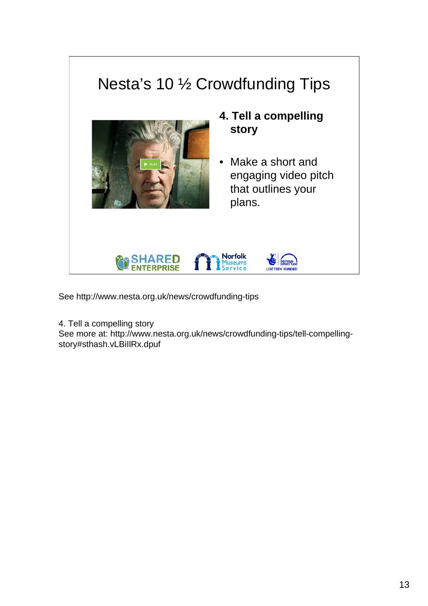

4. Tell a compelling story

See more at: http://www.nesta.org.uk/news/crowdfunding-tips/tell-compellingstory#sthash.vLBiIlRx.dpuf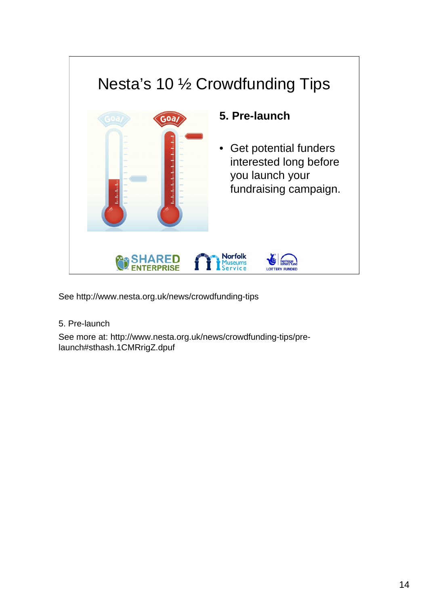

5. Pre-launch

See more at: http://www.nesta.org.uk/news/crowdfunding-tips/prelaunch#sthash.1CMRrigZ.dpuf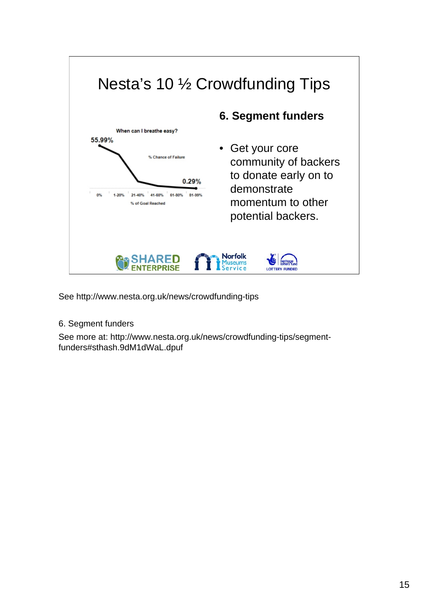

6. Segment funders

See more at: http://www.nesta.org.uk/news/crowdfunding-tips/segmentfunders#sthash.9dM1dWaL.dpuf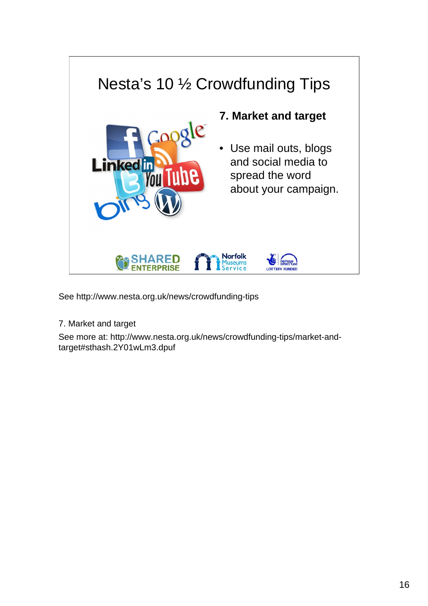

7. Market and target

See more at: http://www.nesta.org.uk/news/crowdfunding-tips/market-andtarget#sthash.2Y01wLm3.dpuf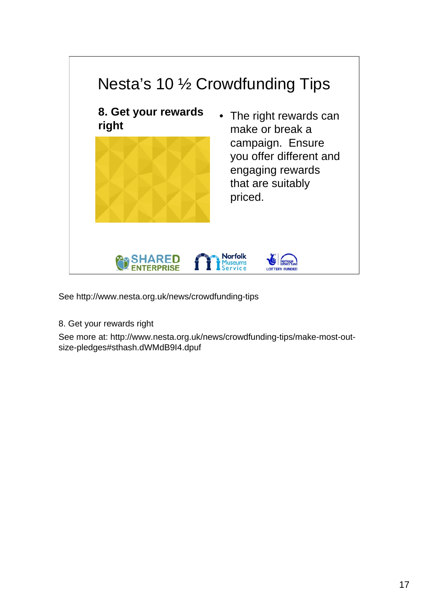

8. Get your rewards right

See more at: http://www.nesta.org.uk/news/crowdfunding-tips/make-most-outsize-pledges#sthash.dWMdB9I4.dpuf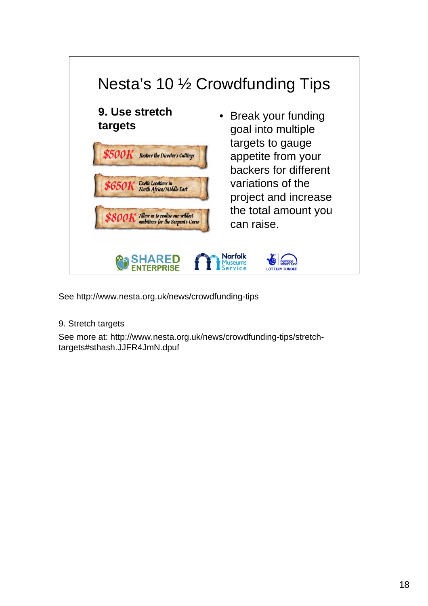

## 9. Stretch targets

See more at: http://www.nesta.org.uk/news/crowdfunding-tips/stretchtargets#sthash.JJFR4JmN.dpuf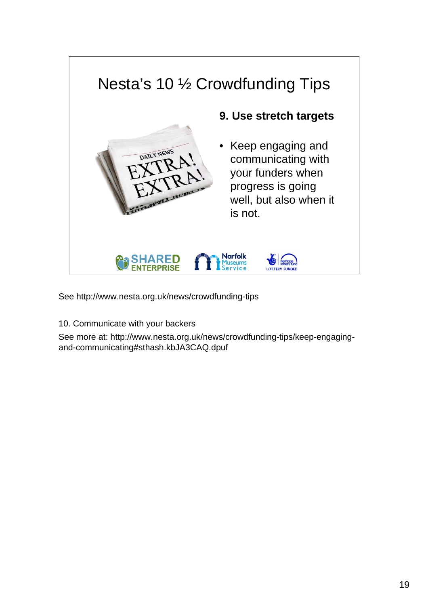

10. Communicate with your backers

See more at: http://www.nesta.org.uk/news/crowdfunding-tips/keep-engagingand-communicating#sthash.kbJA3CAQ.dpuf